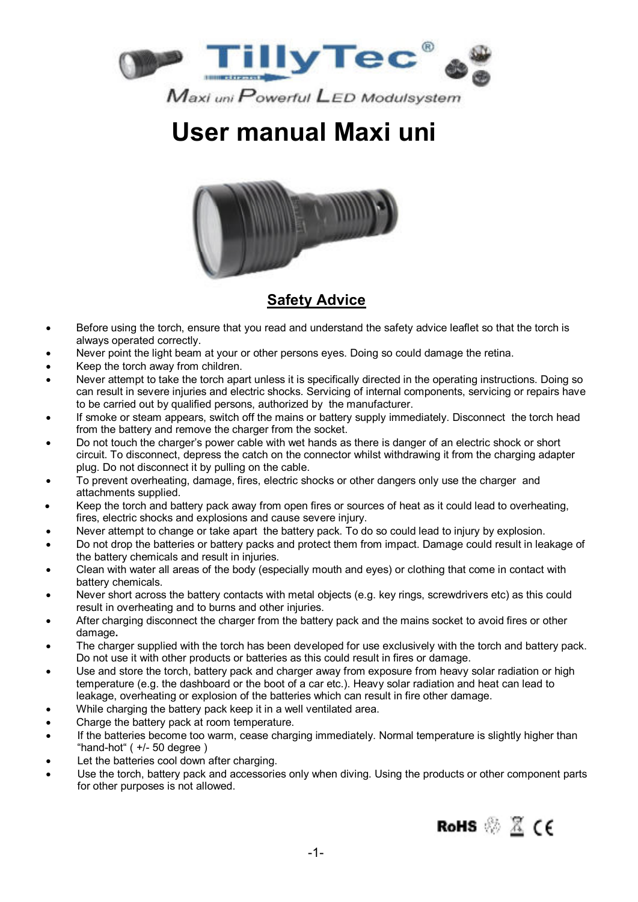



### **Safety Advice**

- Before using the torch, ensure that you read and understand the safety advice leaflet so that the torch is always operated correctly.
- Never point the light beam at your or other persons eyes. Doing so could damage the retina.
- Keep the torch away from children.
- Never attempt to take the torch apart unless it is specifically directed in the operating instructions. Doing so can result in severe injuries and electric shocks. Servicing of internal components, servicing or repairs have to be carried out by qualified persons, authorized by the manufacturer.
- If smoke or steam appears, switch off the mains or battery supply immediately. Disconnect the torch head from the battery and remove the charger from the socket.
- Do not touch the charger's power cable with wet hands as there is danger of an electric shock or short circuit. To disconnect, depress the catch on the connector whilst withdrawing it from the charging adapter plug. Do not disconnect it by pulling on the cable.
- To prevent overheating, damage, fires, electric shocks or other dangers only use the charger and attachments supplied.
- Keep the torch and battery pack away from open fires or sources of heat as it could lead to overheating, fires, electric shocks and explosions and cause severe injury.
- Never attempt to change or take apart the battery pack. To do so could lead to injury by explosion.
- Do not drop the batteries or battery packs and protect them from impact. Damage could result in leakage of the battery chemicals and result in injuries.
- Clean with water all areas of the body (especially mouth and eyes) or clothing that come in contact with battery chemicals.
- Never short across the battery contacts with metal objects (e.g. key rings, screwdrivers etc) as this could result in overheating and to burns and other injuries.
- After charging disconnect the charger from the battery pack and the mains socket to avoid fires or other damage**.**
- The charger supplied with the torch has been developed for use exclusively with the torch and battery pack. Do not use it with other products or batteries as this could result in fires or damage.
- Use and store the torch, battery pack and charger away from exposure from heavy solar radiation or high temperature (e.g. the dashboard or the boot of a car etc.). Heavy solar radiation and heat can lead to leakage, overheating or explosion of the batteries which can result in fire other damage.
- While charging the battery pack keep it in a well ventilated area.
- Charge the battery pack at room temperature.
- If the batteries become too warm, cease charging immediately. Normal temperature is slightly higher than "hand-hot" ( +/- 50 degree )
- Let the batteries cool down after charging.
- Use the torch, battery pack and accessories only when diving. Using the products or other component parts for other purposes is not allowed.

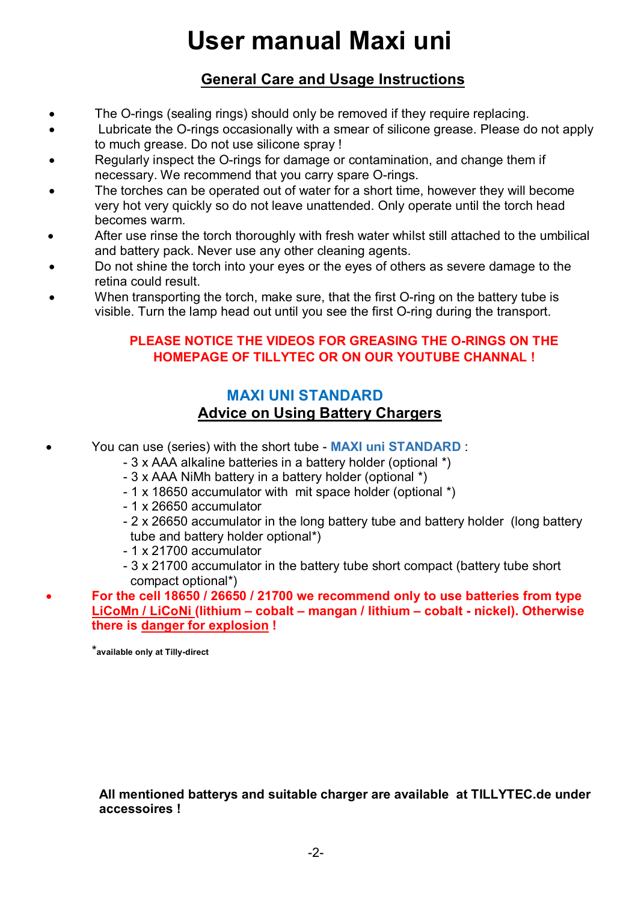### **General Care and Usage Instructions**

- The O-rings (sealing rings) should only be removed if they require replacing.
- Lubricate the O-rings occasionally with a smear of silicone grease. Please do not apply to much grease. Do not use silicone spray !
- Regularly inspect the O-rings for damage or contamination, and change them if necessary. We recommend that you carry spare O-rings.
- The torches can be operated out of water for a short time, however they will become very hot very quickly so do not leave unattended. Only operate until the torch head becomes warm.
- After use rinse the torch thoroughly with fresh water whilst still attached to the umbilical and battery pack. Never use any other cleaning agents.
- Do not shine the torch into your eyes or the eyes of others as severe damage to the retina could result.
- When transporting the torch, make sure, that the first O-ring on the battery tube is visible. Turn the lamp head out until you see the first O-ring during the transport.

#### **PLEASE NOTICE THE VIDEOS FOR GREASING THE O-RINGS ON THE HOMEPAGE OF TILLYTEC OR ON OUR YOUTUBE CHANNAL !**

### **MAXI UNI STANDARD Advice on Using Battery Chargers**

- You can use (series) with the short tube **MAXI uni STANDARD** :
	- 3 x AAA alkaline batteries in a battery holder (optional \*)
	- 3 x AAA NiMh battery in a battery holder (optional \*)
	- 1 x 18650 accumulator with mit space holder (optional \*)
	- 1 x 26650 accumulator
	- 2 x 26650 accumulator in the long battery tube and battery holder (long battery tube and battery holder optional\*)
	- 1 x 21700 accumulator
	- 3 x 21700 accumulator in the battery tube short compact (battery tube short compact optional\*)
- **For the cell 18650 / 26650 / 21700 we recommend only to use batteries from type LiCoMn / LiCoNi (lithium – cobalt – mangan / lithium – cobalt - nickel). Otherwise there is danger for explosion !**

\***available only at Tilly-direct**

**All mentioned batterys and suitable charger are available at TILLYTEC.de under accessoires !**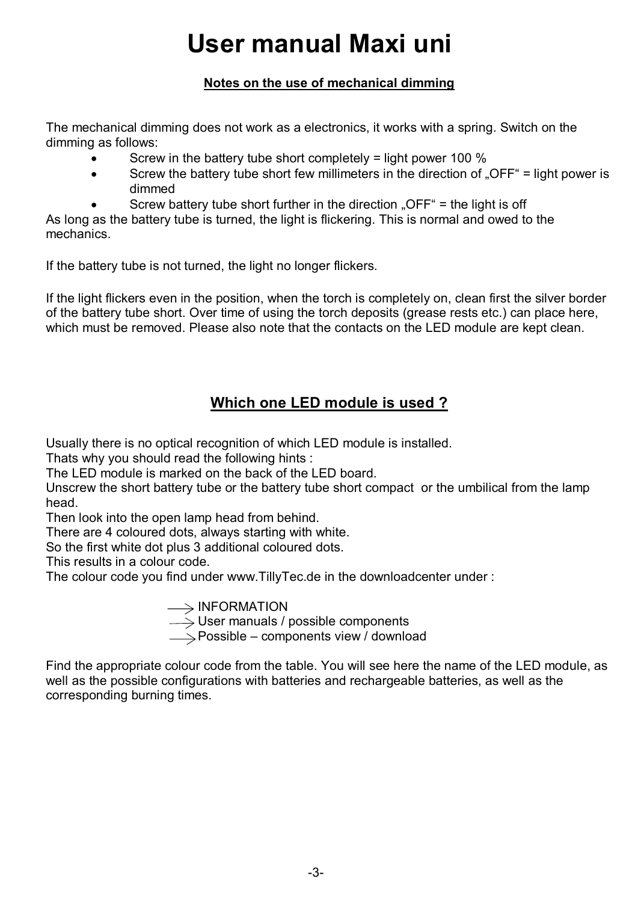#### **Notes on the use of mechanical dimming**

The mechanical dimming does not work as a electronics, it works with a spring. Switch on the dimming as follows:

- Screw in the battery tube short completely = light power 100 %
- Screw the battery tube short few millimeters in the direction of "OFF" = light power is dimmed
	- Screw battery tube short further in the direction "OFF" = the light is off

As long as the battery tube is turned, the light is flickering. This is normal and owed to the mechanics.

If the battery tube is not turned, the light no longer flickers.

If the light flickers even in the position, when the torch is completely on, clean first the silver border of the battery tube short. Over time of using the torch deposits (grease rests etc.) can place here, which must be removed. Please also note that the contacts on the LED module are kept clean.

### **Which one LED module is used ?**

Usually there is no optical recognition of which LED module is installed.

Thats why you should read the following hints :

The LED module is marked on the back of the LED board.

Unscrew the short battery tube or the battery tube short compact or the umbilical from the lamp head.

Then look into the open lamp head from behind.

There are 4 coloured dots, always starting with white.

So the first white dot plus 3 additional coloured dots.

This results in a colour code.

The colour code you find under www.TillyTec.de in the downloadcenter under :

INFORMATION<br>User manuals / possible components<br>Possible – components view / download

Find the appropriate colour code from the table. You will see here the name of the LED module, as well as the possible configurations with batteries and rechargeable batteries, as well as the corresponding burning times.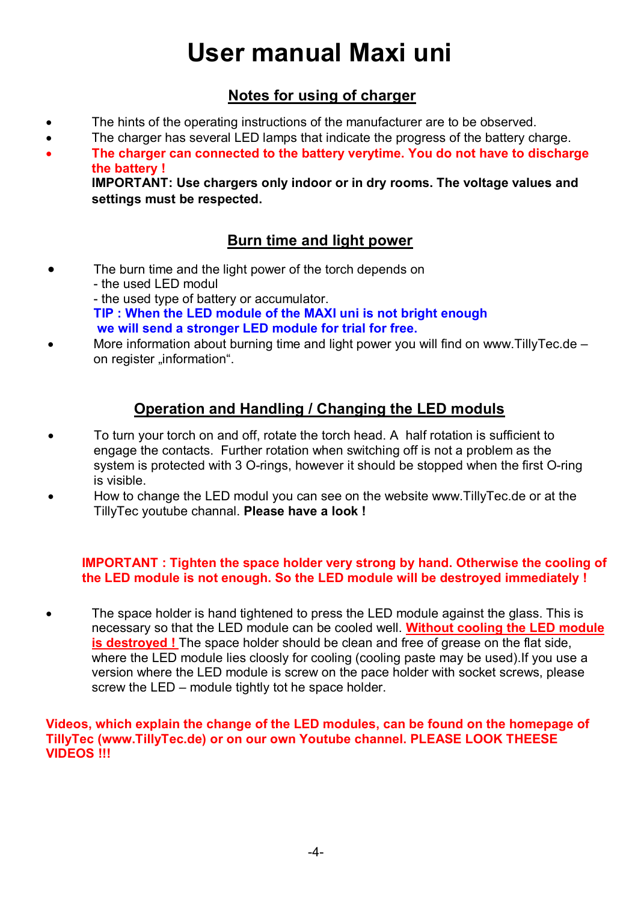### **Notes for using of charger**

- The hints of the operating instructions of the manufacturer are to be observed.
- The charger has several LED lamps that indicate the progress of the battery charge.
- **The charger can connected to the battery verytime. You do not have to discharge the battery !**

**IMPORTANT: Use chargers only indoor or in dry rooms. The voltage values and settings must be respected.**

### **Burn time and light power**

- The burn time and the light power of the torch depends on - the used LED modul - the used type of battery or accumulator. **TIP : When the LED module of the MAXI uni is not bright enough we will send a stronger LED module for trial for free.**
- More information about burning time and light power you will find on www.TillyTec.de on register ..information".

### **Operation and Handling / Changing the LED moduls**

- To turn your torch on and off, rotate the torch head. A half rotation is sufficient to engage the contacts. Further rotation when switching off is not a problem as the system is protected with 3 O-rings, however it should be stopped when the first O-ring is visible.
- How to change the LED modul you can see on the website www.TillyTec.de or at the TillyTec youtube channal. **Please have a look !**

#### **IMPORTANT : Tighten the space holder very strong by hand. Otherwise the cooling of the LED module is not enough. So the LED module will be destroyed immediately !**

 The space holder is hand tightened to press the LED module against the glass. This is necessary so that the LED module can be cooled well. **Without cooling the LED module is destroyed !** The space holder should be clean and free of grease on the flat side. where the LED module lies cloosly for cooling (cooling paste may be used).If you use a version where the LED module is screw on the pace holder with socket screws, please screw the LED – module tightly tot he space holder.

#### **Videos, which explain the change of the LED modules, can be found on the homepage of TillyTec (www.TillyTec.de) or on our own Youtube channel. PLEASE LOOK THEESE VIDEOS !!!**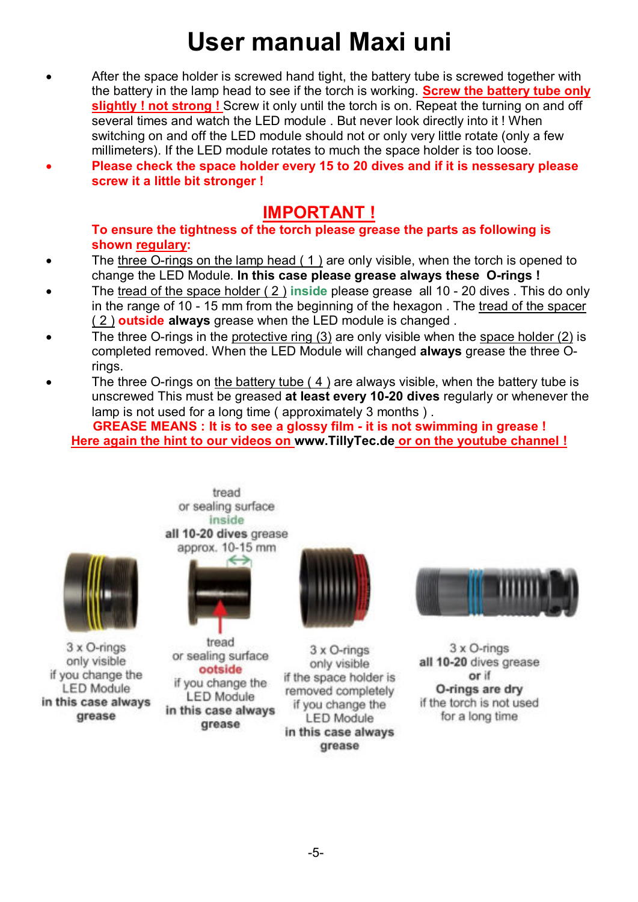- After the space holder is screwed hand tight, the battery tube is screwed together with the battery in the lamp head to see if the torch is working. **Screw the battery tube only slightly ! not strong !** Screw it only until the torch is on. Repeat the turning on and off several times and watch the LED module . But never look directly into it ! When switching on and off the LED module should not or only very little rotate (only a few millimeters). If the LED module rotates to much the space holder is too loose.
- **Please check the space holder every 15 to 20 dives and if it is nessesary please screw it a little bit stronger !**

### **IMPORTANT !**

**To ensure the tightness of the torch please grease the parts as following is shown regulary:** 

- The three O-rings on the lamp head  $(1)$  are only visible, when the torch is opened to change the LED Module. **In this case please grease always these O-rings !**
- The tread of the space holder ( 2 ) **inside** please grease all 10 20 dives . This do only in the range of 10 - 15 mm from the beginning of the hexagon. The tread of the spacer ( 2 ) **outside always** grease when the LED module is changed .
- The three O-rings in the protective ring (3) are only visible when the space holder (2) is completed removed. When the LED Module will changed **always** grease the three Orings.
- The three O-rings on the battery tube  $(4)$  are always visible, when the battery tube is unscrewed This must be greased **at least every 10-20 dives** regularly or whenever the lamp is not used for a long time ( approximately 3 months ) .

**GREASE MEANS : It is to see a glossy film - it is not swimming in grease ! Here again the hint to our videos on www.TillyTec.de or on the youtube channel !** 





heart or sealing surface inside all 10-20 dives grease

 $3 \times$  O-rings only visible if you change the **LED Module** in this case always grease

tread or sealing surface ootside if you change the **LED Module** in this case always grease



 $3 \times$  O-rings only visible if the space holder is removed completely if you change the **LED Module** in this case always grease



 $3 \times$  O-rings all 10-20 dives grease or if O-rings are dry if the torch is not used for a long time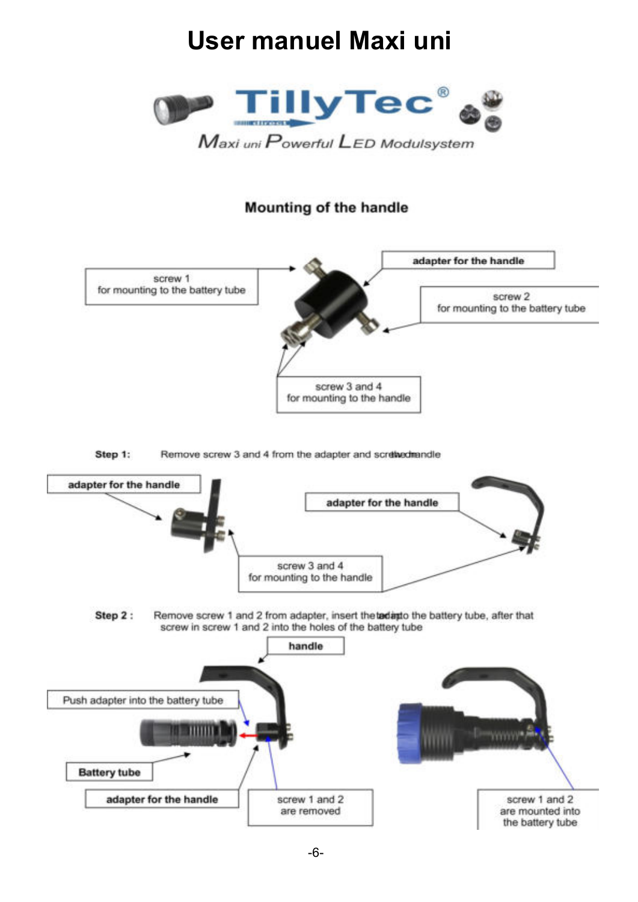

### **Mounting of the handle**



Step 1: Remove screw 3 and 4 from the adapter and scretivedmandle

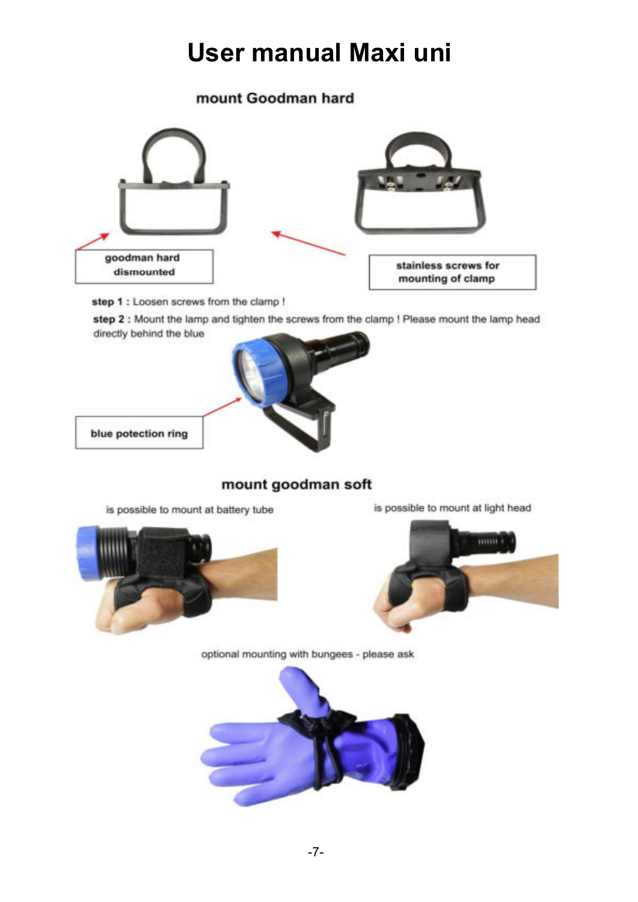### mount Goodman hard



step 1 : Loosen screws from the clamp !

step 2 : Mount the lamp and tighten the screws from the clamp ! Please mount the lamp head directly behind the blue



blue potection ring

### mount goodman soft

is possible to mount at battery tube





optional mounting with bungees - please ask

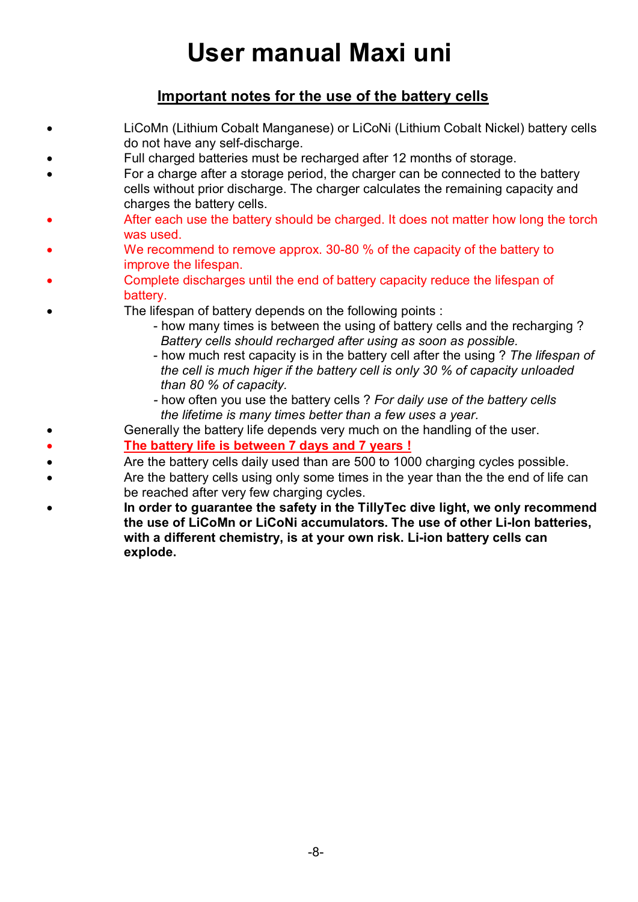### **Important notes for the use of the battery cells**

- LiCoMn (Lithium Cobalt Manganese) or LiCoNi (Lithium Cobalt Nickel) battery cells do not have any self-discharge.
- Full charged batteries must be recharged after 12 months of storage.
- For a charge after a storage period, the charger can be connected to the battery cells without prior discharge. The charger calculates the remaining capacity and charges the battery cells.
- After each use the battery should be charged. It does not matter how long the torch was used.
- We recommend to remove approx. 30-80 % of the capacity of the battery to improve the lifespan.
- Complete discharges until the end of battery capacity reduce the lifespan of battery.
	- The lifespan of battery depends on the following points :
		- how many times is between the using of battery cells and the recharging ? *Battery cells should recharged after using as soon as possible.*
		- how much rest capacity is in the battery cell after the using ? *The lifespan of the cell is much higer if the battery cell is only 30 % of capacity unloaded than 80 % of capacity.*
		- *-* how often you use the battery cells ? *For daily use of the battery cells the lifetime is many times better than a few uses a year.*
- Generally the battery life depends very much on the handling of the user.
- **The battery life is between 7 days and 7 years !**
- Are the battery cells daily used than are 500 to 1000 charging cycles possible.
- Are the battery cells using only some times in the year than the the end of life can be reached after very few charging cycles.
- **In order to guarantee the safety in the TillyTec dive light, we only recommend the use of LiCoMn or LiCoNi accumulators. The use of other Li-Ion batteries, with a different chemistry, is at your own risk. Li-ion battery cells can explode.**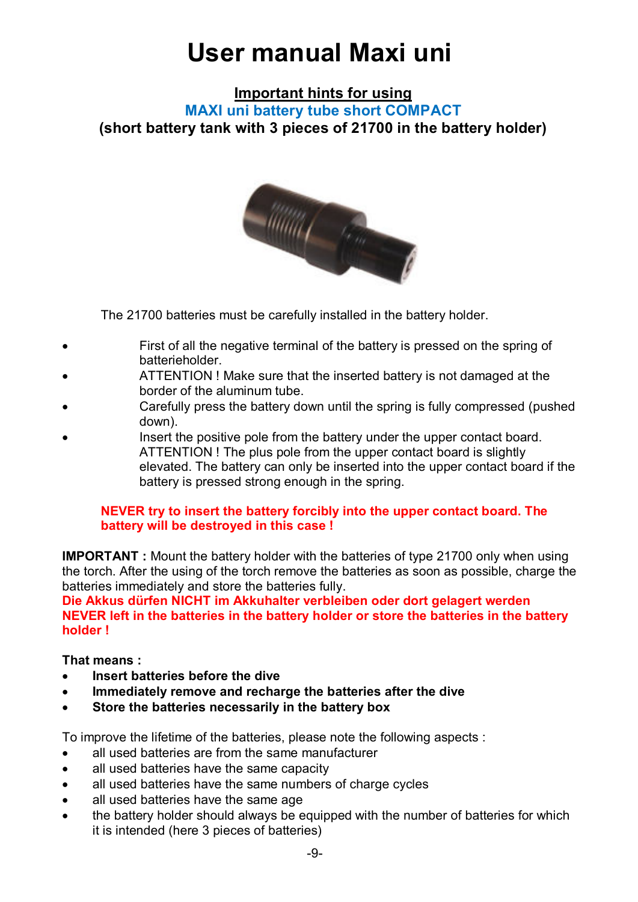**Important hints for using** 

**MAXI uni battery tube short COMPACT (short battery tank with 3 pieces of 21700 in the battery holder)** 



The 21700 batteries must be carefully installed in the battery holder.

- First of all the negative terminal of the battery is pressed on the spring of batterieholder.
- ATTENTION ! Make sure that the inserted battery is not damaged at the border of the aluminum tube.
- Carefully press the battery down until the spring is fully compressed (pushed down).
- Insert the positive pole from the battery under the upper contact board. ATTENTION ! The plus pole from the upper contact board is slightly elevated. The battery can only be inserted into the upper contact board if the battery is pressed strong enough in the spring.

#### **NEVER try to insert the battery forcibly into the upper contact board. The battery will be destroyed in this case !**

**IMPORTANT :** Mount the battery holder with the batteries of type 21700 only when using the torch. After the using of the torch remove the batteries as soon as possible, charge the batteries immediately and store the batteries fully.

**Die Akkus dürfen NICHT im Akkuhalter verbleiben oder dort gelagert werden NEVER left in the batteries in the battery holder or store the batteries in the battery holder !** 

#### **That means :**

- **Insert batteries before the dive**
- **Immediately remove and recharge the batteries after the dive**
- **Store the batteries necessarily in the battery box**

To improve the lifetime of the batteries, please note the following aspects :

- all used batteries are from the same manufacturer
- all used batteries have the same capacity
- all used batteries have the same numbers of charge cycles
- all used batteries have the same age
- the battery holder should always be equipped with the number of batteries for which it is intended (here 3 pieces of batteries)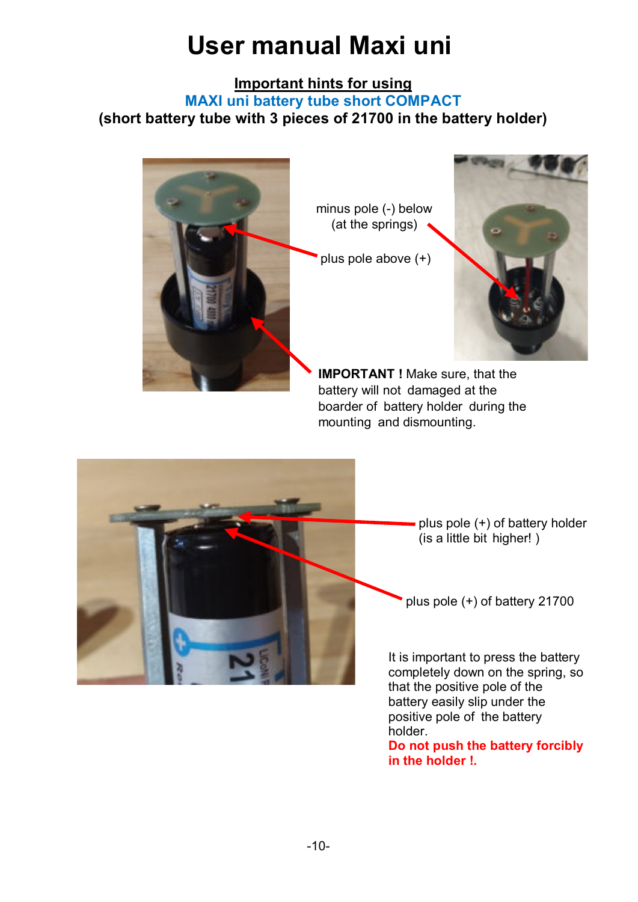### **Important hints for using**

**MAXI uni battery tube short COMPACT** 

**(short battery tube with 3 pieces of 21700 in the battery holder)** 



minus pole (-) below (at the springs)

plus pole above (+)



**IMPORTANT !** Make sure, that the battery will not damaged at the boarder of battery holder during the mounting and dismounting.



plus pole (+) of battery holder (is a little bit higher! )

plus pole (+) of battery 21700

It is important to press the battery completely down on the spring, so that the positive pole of the battery easily slip under the positive pole of the battery holder.

**Do not push the battery forcibly in the holder !.**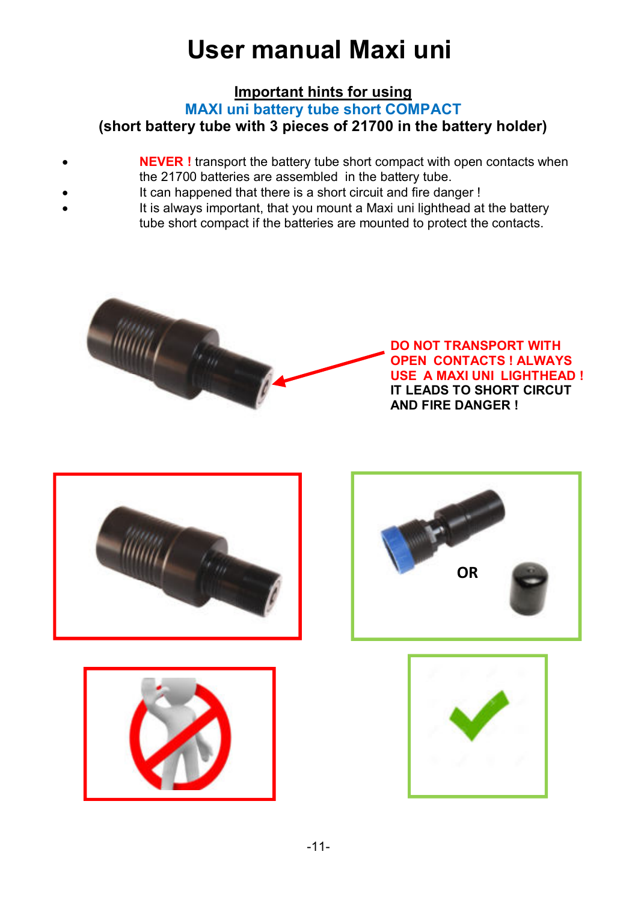## **Important hints for using**

**MAXI uni battery tube short COMPACT** 

**(short battery tube with 3 pieces of 21700 in the battery holder)** 

- **NEVER !** transport the battery tube short compact with open contacts when the 21700 batteries are assembled in the battery tube.
- 
- It can happened that there is a short circuit and fire danger !
- It is always important, that you mount a Maxi uni lighthead at the battery tube short compact if the batteries are mounted to protect the contacts.



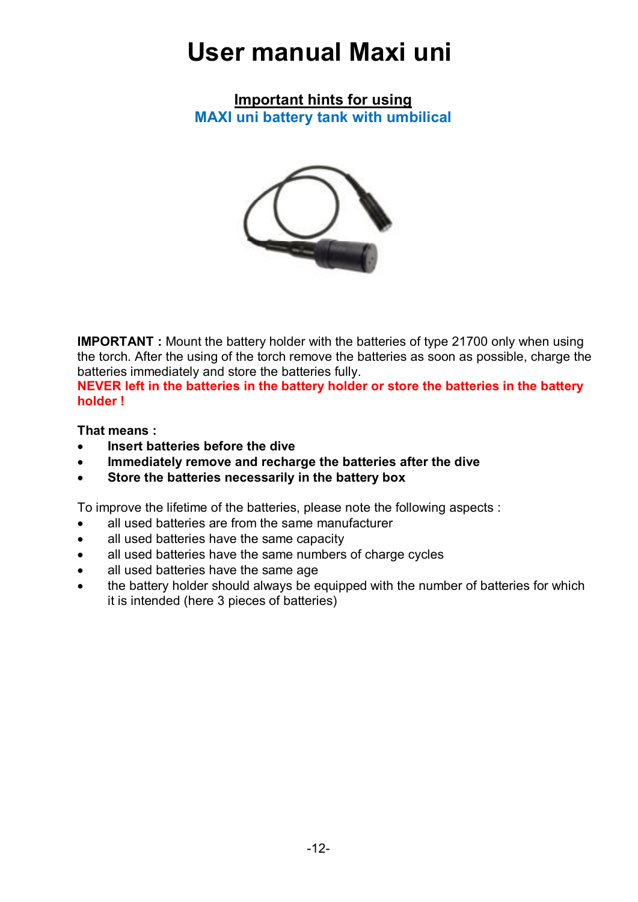**Important hints for using MAXI uni battery tank with umbilical** 



**IMPORTANT :** Mount the battery holder with the batteries of type 21700 only when using the torch. After the using of the torch remove the batteries as soon as possible, charge the batteries immediately and store the batteries fully.

**NEVER left in the batteries in the battery holder or store the batteries in the battery holder !** 

**That means :** 

- **Insert batteries before the dive**
- **Immediately remove and recharge the batteries after the dive**
- **Store the batteries necessarily in the battery box**

To improve the lifetime of the batteries, please note the following aspects :

- all used batteries are from the same manufacturer
- all used batteries have the same capacity
- all used batteries have the same numbers of charge cycles
- all used batteries have the same age
- the battery holder should always be equipped with the number of batteries for which it is intended (here 3 pieces of batteries)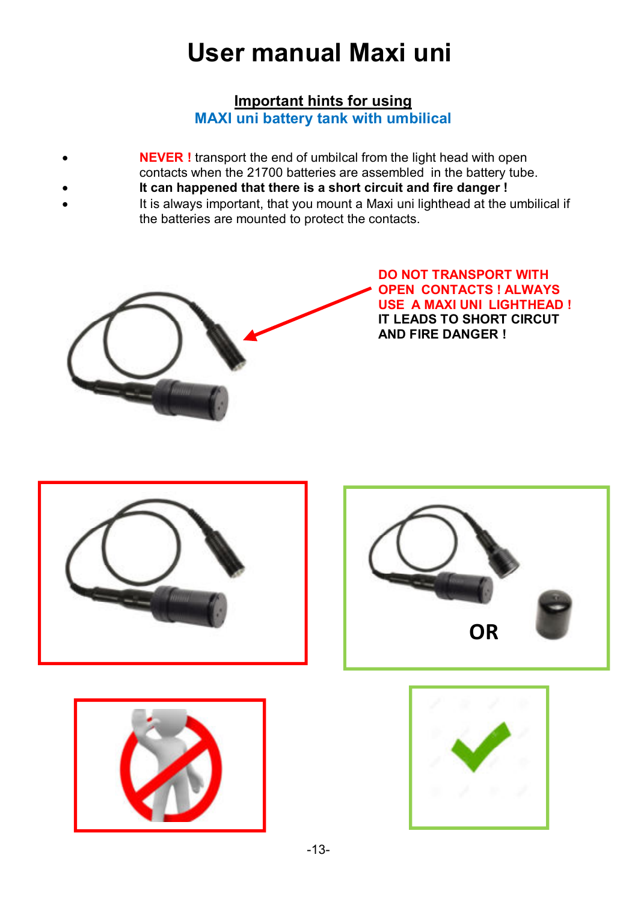### **Important hints for using MAXI uni battery tank with umbilical**

- **NEVER !** transport the end of umbilcal from the light head with open
	- contacts when the 21700 batteries are assembled in the battery tube.
	- **It can happened that there is a short circuit and fire danger !**
- It is always important, that you mount a Maxi uni lighthead at the umbilical if the batteries are mounted to protect the contacts.



**DO NOT TRANSPORT WITH OPEN CONTACTS ! ALWAYS USE A MAXI UNI LIGHTHEAD ! IT LEADS TO SHORT CIRCUT AND FIRE DANGER !** 







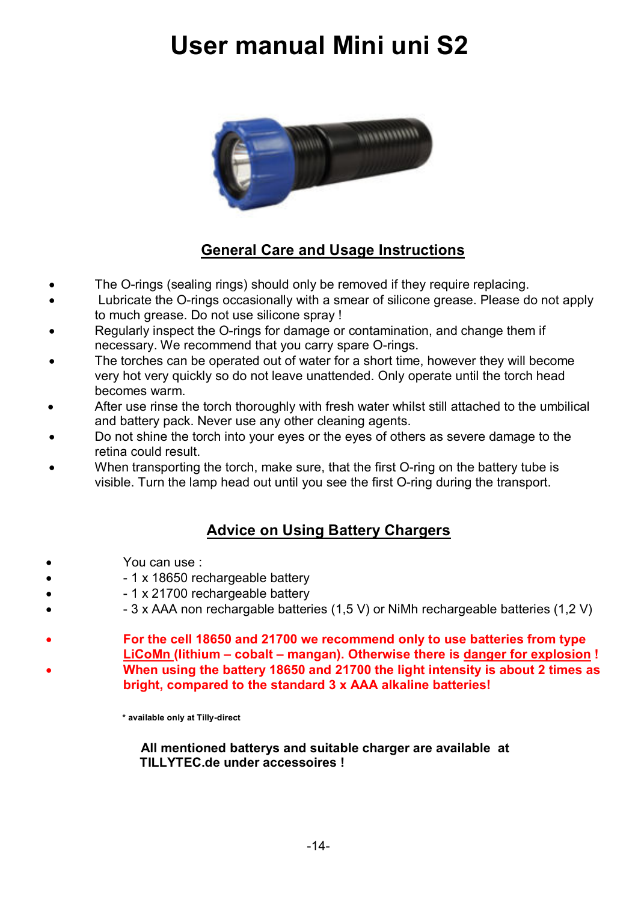# **User manual Mini uni S2**



### **General Care and Usage Instructions**

- The O-rings (sealing rings) should only be removed if they require replacing.
- Lubricate the O-rings occasionally with a smear of silicone grease. Please do not apply to much grease. Do not use silicone spray !
- Regularly inspect the O-rings for damage or contamination, and change them if necessary. We recommend that you carry spare O-rings.
- The torches can be operated out of water for a short time, however they will become very hot very quickly so do not leave unattended. Only operate until the torch head becomes warm.
- After use rinse the torch thoroughly with fresh water whilst still attached to the umbilical and battery pack. Never use any other cleaning agents.
- Do not shine the torch into your eyes or the eyes of others as severe damage to the retina could result.
- When transporting the torch, make sure, that the first O-ring on the battery tube is visible. Turn the lamp head out until you see the first O-ring during the transport.

### **Advice on Using Battery Chargers**

- You can use :
- 1 x 18650 rechargeable battery
- 1 x 21700 rechargeable battery
- 3 x AAA non rechargable batteries (1,5 V) or NiMh rechargeable batteries (1,2 V)
- **For the cell 18650 and 21700 we recommend only to use batteries from type LiCoMn (lithium – cobalt – mangan). Otherwise there is danger for explosion ! When using the battery 18650 and 21700 the light intensity is about 2 times as bright, compared to the standard 3 x AAA alkaline batteries!**

 **\* available only at Tilly-direct** 

**All mentioned batterys and suitable charger are available at TILLYTEC.de under accessoires !**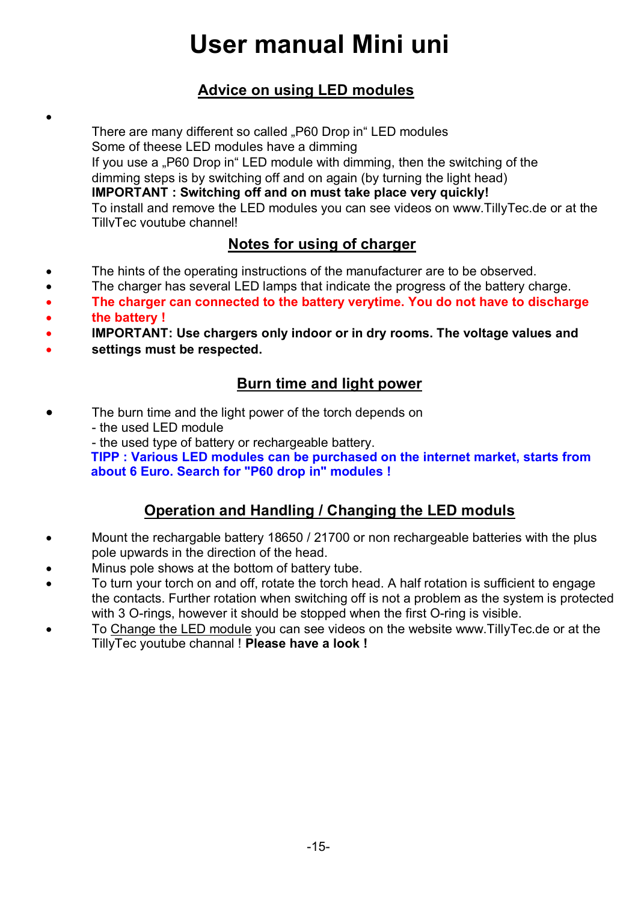# **User manual Mini uni**

### **Advice on using LED modules**

There are many different so called "P60 Drop in" LED modules Some of theese LED modules have a dimming If you use a "P60 Drop in" LED module with dimming, then the switching of the dimming steps is by switching off and on again (by turning the light head) **IMPORTANT : Switching off and on must take place very quickly!** To install and remove the LED modules you can see videos on www.TillyTec.de or at the TillyTec youtube channel!

### **Notes for using of charger**

- The hints of the operating instructions of the manufacturer are to be observed.
- The charger has several LED lamps that indicate the progress of the battery charge.
- **The charger can connected to the battery verytime. You do not have to discharge**
- **the battery !**

.

- **IMPORTANT: Use chargers only indoor or in dry rooms. The voltage values and**
- **settings must be respected.**

### **Burn time and light power**

- The burn time and the light power of the torch depends on
	- the used LED module
	- the used type of battery or rechargeable battery.

**TIPP : Various LED modules can be purchased on the internet market, starts from about 6 Euro. Search for "P60 drop in" modules !** 

### **Operation and Handling / Changing the LED moduls**

- Mount the rechargable battery 18650 / 21700 or non rechargeable batteries with the plus pole upwards in the direction of the head.
- Minus pole shows at the bottom of battery tube.
- To turn your torch on and off, rotate the torch head. A half rotation is sufficient to engage the contacts. Further rotation when switching off is not a problem as the system is protected with 3 O-rings, however it should be stopped when the first O-ring is visible.
- To Change the LED module you can see videos on the website www.TillyTec.de or at the TillyTec youtube channal ! **Please have a look !**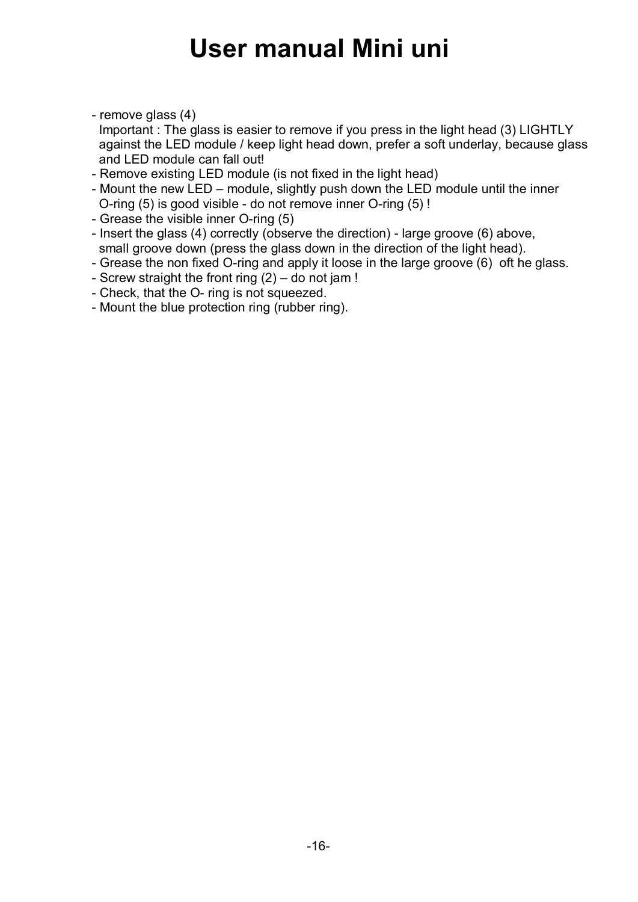## **User manual Mini uni**

- remove glass (4)

 Important : The glass is easier to remove if you press in the light head (3) LIGHTLY against the LED module / keep light head down, prefer a soft underlay, because glass and LED module can fall out!

- Remove existing LED module (is not fixed in the light head)
- Mount the new LED module, slightly push down the LED module until the inner O-ring (5) is good visible - do not remove inner O-ring (5) !
- Grease the visible inner O-ring (5)
- Insert the glass (4) correctly (observe the direction) large groove (6) above, small groove down (press the glass down in the direction of the light head).
- Grease the non fixed O-ring and apply it loose in the large groove (6) oft he glass.
- Screw straight the front ring (2) do not jam !
- Check, that the O- ring is not squeezed.
- Mount the blue protection ring (rubber ring).